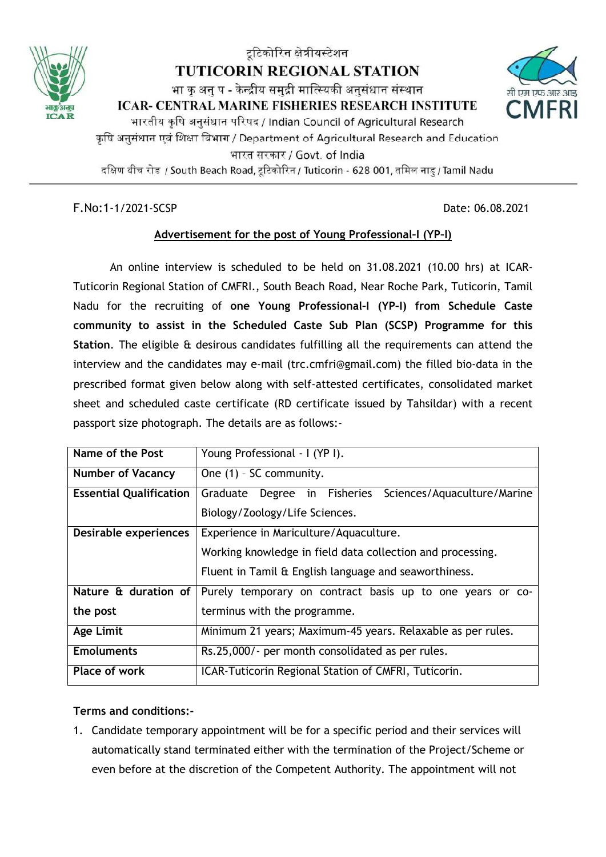

# टूटिकोरिन क्षेत्रीयस्टेशन **TUTICORIN REGIONAL STATION** भा क अन् प - केन्द्रीय समुद्री मात्स्यिकी अनुसंधान संस्थान ICAR- CENTRAL MARINE FISHERIES RESEARCH INSTITUTE भारतीय कृषि अनुसंधान परिषद / Indian Council of Agricultural Research कृषि अनुसंधान एवं शिक्षा विभाग / Department of Agricultural Research and Education भारत सरकार / Govt. of India

दक्षिण बीच रोड / South Beach Road, टूटिकोरिन / Tuticorin - 628 001, तमिल नाडु / Tamil Nadu

F.No:1-1/2021-SCSP Date: 06.08.2021

# **Advertisement for the post of Young Professional–I (YP–I)**

An online interview is scheduled to be held on 31.08.2021 (10.00 hrs) at ICAR-Tuticorin Regional Station of CMFRI., South Beach Road, Near Roche Park, Tuticorin, Tamil Nadu for the recruiting of **one Young Professional–I (YP–I) from Schedule Caste community to assist in the Scheduled Caste Sub Plan (SCSP) Programme for this Station**. The eligible & desirous candidates fulfilling all the requirements can attend the interview and the candidates may e-mail (trc.cmfri@gmail.com) the filled bio-data in the prescribed format given below along with self-attested certificates, consolidated market sheet and scheduled caste certificate (RD certificate issued by Tahsildar) with a recent passport size photograph. The details are as follows:-

| Name of the Post               | Young Professional - I (YP I).                              |  |  |  |  |
|--------------------------------|-------------------------------------------------------------|--|--|--|--|
|                                |                                                             |  |  |  |  |
| <b>Number of Vacancy</b>       | One (1) - SC community.                                     |  |  |  |  |
|                                |                                                             |  |  |  |  |
| <b>Essential Qualification</b> | Graduate Degree in Fisheries Sciences/Aquaculture/Marine    |  |  |  |  |
|                                | Biology/Zoology/Life Sciences.                              |  |  |  |  |
|                                |                                                             |  |  |  |  |
| Desirable experiences          | Experience in Mariculture/Aquaculture.                      |  |  |  |  |
|                                |                                                             |  |  |  |  |
|                                | Working knowledge in field data collection and processing.  |  |  |  |  |
|                                |                                                             |  |  |  |  |
|                                | Fluent in Tamil & English language and seaworthiness.       |  |  |  |  |
| Nature & duration of           | Purely temporary on contract basis up to one years or co-   |  |  |  |  |
|                                |                                                             |  |  |  |  |
| the post                       | terminus with the programme.                                |  |  |  |  |
|                                |                                                             |  |  |  |  |
| <b>Age Limit</b>               | Minimum 21 years; Maximum-45 years. Relaxable as per rules. |  |  |  |  |
|                                |                                                             |  |  |  |  |
| <b>Emoluments</b>              | Rs.25,000/- per month consolidated as per rules.            |  |  |  |  |
| Place of work                  | ICAR-Tuticorin Regional Station of CMFRI, Tuticorin.        |  |  |  |  |
|                                |                                                             |  |  |  |  |

#### **Terms and conditions:-**

1. Candidate temporary appointment will be for a specific period and their services will automatically stand terminated either with the termination of the Project/Scheme or even before at the discretion of the Competent Authority. The appointment will not

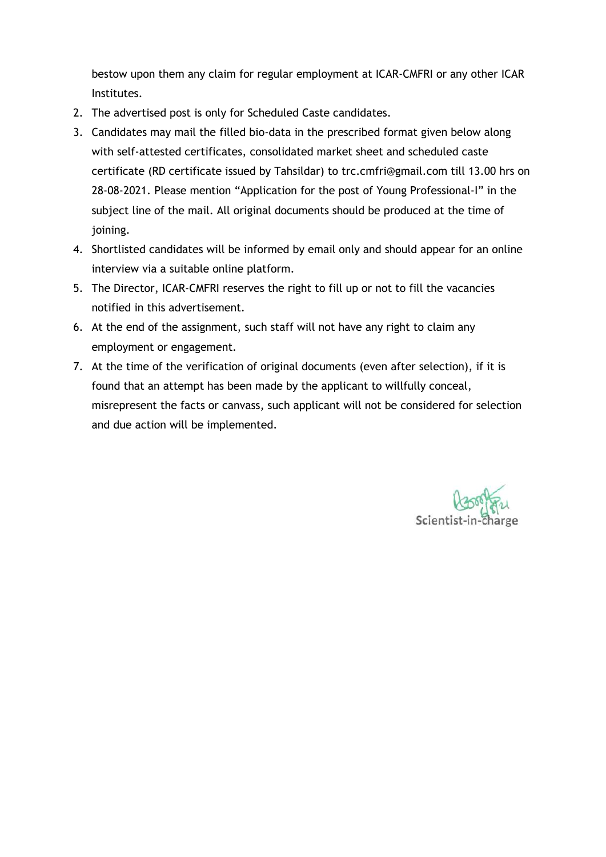bestow upon them any claim for regular employment at ICAR-CMFRI or any other ICAR Institutes.

- 2. The advertised post is only for Scheduled Caste candidates.
- 3. Candidates may mail the filled bio-data in the prescribed format given below along with self-attested certificates, consolidated market sheet and scheduled caste certificate (RD certificate issued by Tahsildar) to trc.cmfri@gmail.com till 13.00 hrs on 28-08-2021. Please mention "Application for the post of Young Professional-I" in the subject line of the mail. All original documents should be produced at the time of joining.
- 4. Shortlisted candidates will be informed by email only and should appear for an online interview via a suitable online platform.
- 5. The Director, ICAR-CMFRI reserves the right to fill up or not to fill the vacancies notified in this advertisement.
- 6. At the end of the assignment, such staff will not have any right to claim any employment or engagement.
- 7. At the time of the verification of original documents (even after selection), if it is found that an attempt has been made by the applicant to willfully conceal, misrepresent the facts or canvass, such applicant will not be considered for selection and due action will be implemented.

Scientist-in-cha